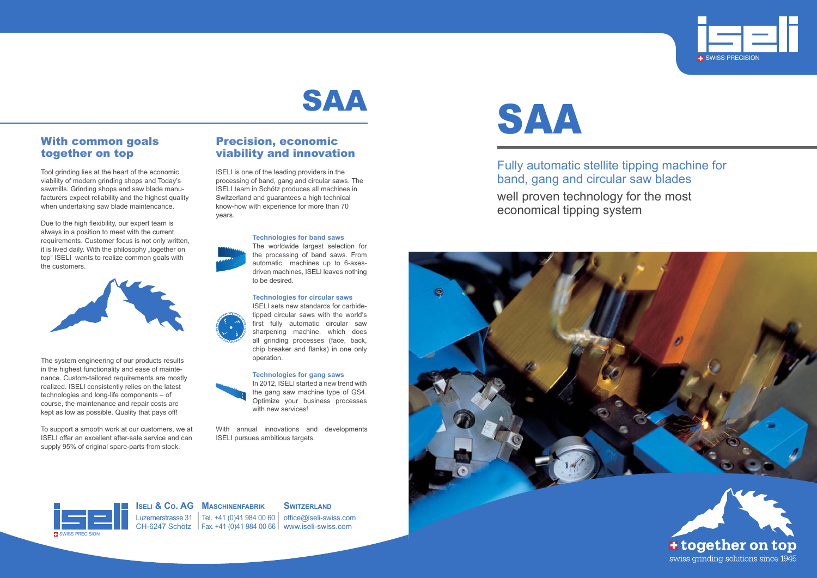Fully automatic stellite tipping machine for band, gang and circular saw blades well proven technology for the most economical tipping system









Luzernerstrasse 31 | Tel. +41 (0)41 984 00 60 | office@iseli-swiss.com CH-6247 Schötz Fax. +41 (0)41 984 00 66 www.iseli-swiss.com

**Iseli & Co. AG Maschinenfabrik**

### **SWITZERLAND**



## With common goals together on top

Tool grinding lies at the heart of the economic viability of modern grinding shops and Today's sawmills. Grinding shops and saw blade manufacturers expect reliability and the highest quality when undertaking saw blade maintencance.

Due to the high flexibility, our expert team is always in a position to meet with the current requirements. Customer focus is not only written, it is lived daily. With the philosophy "together on top" ISELI wants to realize common goals with the customers.



The system engineering of our products results in the highest functionality and ease of maintenance. Custom-tailored requirements are mostly realized. ISELI consistently relies on the latest technologies and long-life components – of course, the maintenance and repair costs are kept as low as possible. Quality that pays off!

In 2012, ISELI started a new trend with the gang saw machine type of GS4. Optimize your business processes with new services!

To support a smooth work at our customers, we at ISELI offer an excellent after-sale service and can supply 95% of original spare-parts from stock.

## Precision, economic viability and innovation

ISELI is one of the leading providers in the processing of band, gang and circular saws. The ISELI team in Schötz produces all machines in Switzerland and guarantees a high technical know-how with experience for more than 70 years.



**Technologies for band saws**

The worldwide largest selection for the processing of band saws. From automatic machines up to 6-axesdriven machines, ISELI leaves nothing to be desired.

#### **Technologies for circular saws**

ISELI sets new standards for carbidetipped circular saws with the world's first fully automatic circular saw sharpening machine, which does all grinding processes (face, back, chip breaker and flanks) in one only operation.

#### **Technologies for gang saws**



With annual innovations and developments ISELI pursues ambitious targets.